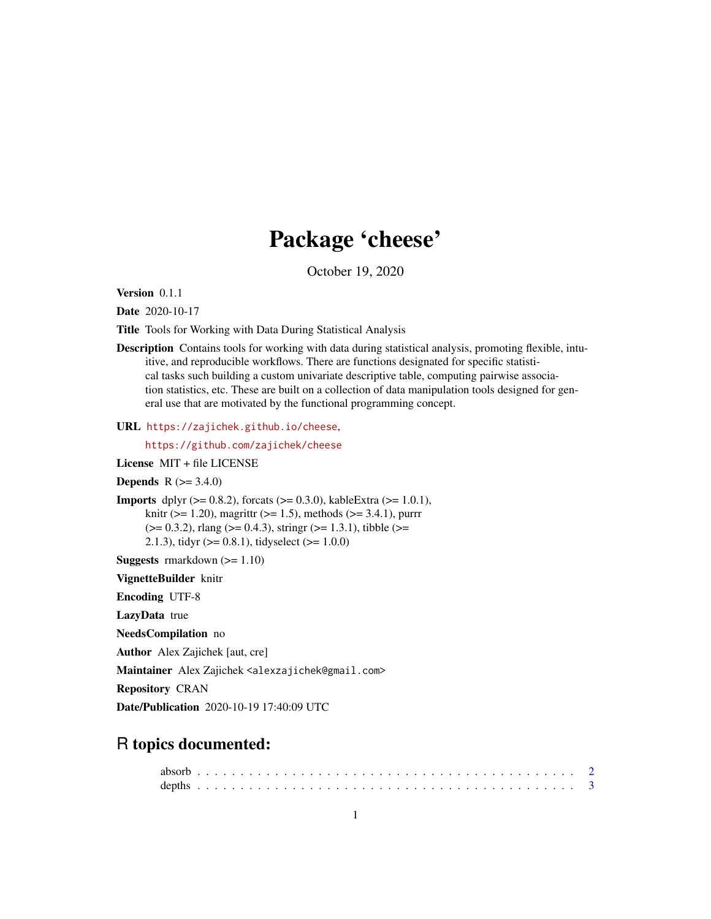## Package 'cheese'

October 19, 2020

<span id="page-0-0"></span>Version 0.1.1

Date 2020-10-17

Title Tools for Working with Data During Statistical Analysis

Description Contains tools for working with data during statistical analysis, promoting flexible, intuitive, and reproducible workflows. There are functions designated for specific statistical tasks such building a custom univariate descriptive table, computing pairwise association statistics, etc. These are built on a collection of data manipulation tools designed for general use that are motivated by the functional programming concept.

URL <https://zajichek.github.io/cheese>,

<https://github.com/zajichek/cheese>

License MIT + file LICENSE

**Depends**  $R$  ( $> = 3.4.0$ )

**Imports** dplyr ( $>= 0.8.2$ ), forcats ( $>= 0.3.0$ ), kableExtra ( $>= 1.0.1$ ), knitr ( $> = 1.20$ ), magrittr ( $> = 1.5$ ), methods ( $> = 3.4.1$ ), purrr  $(>= 0.3.2)$ , rlang  $(>= 0.4.3)$ , stringr  $(>= 1.3.1)$ , tibble  $(>= 1.3.1)$ 2.1.3), tidyr ( $>= 0.8.1$ ), tidyselect ( $>= 1.0.0$ )

Suggests rmarkdown (>= 1.10)

VignetteBuilder knitr

Encoding UTF-8

LazyData true

NeedsCompilation no

Author Alex Zajichek [aut, cre]

Maintainer Alex Zajichek <alexzajichek@gmail.com>

Repository CRAN

Date/Publication 2020-10-19 17:40:09 UTC

### R topics documented: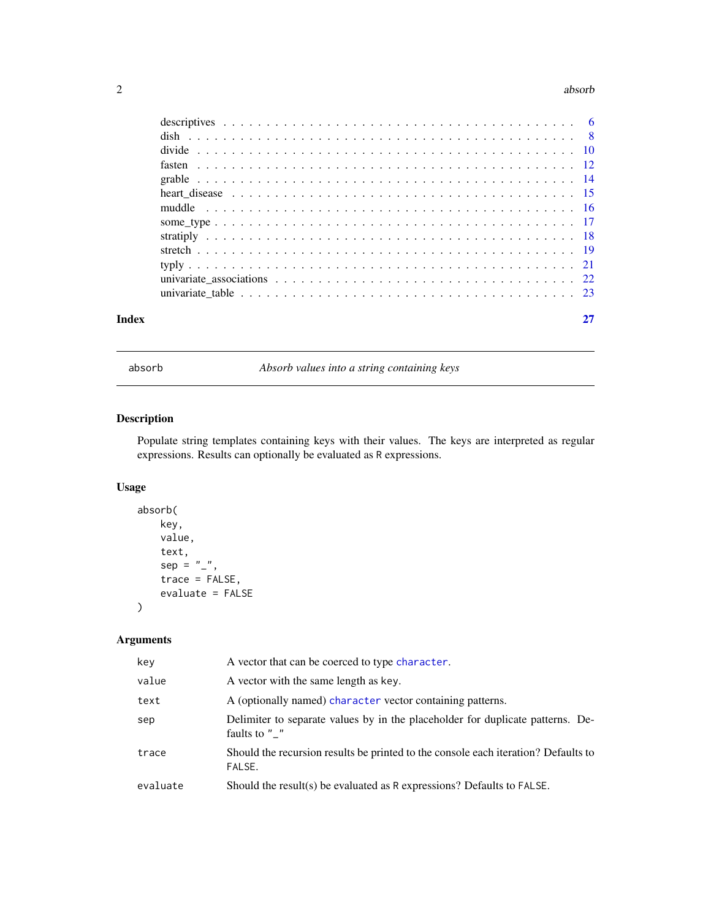### <span id="page-1-0"></span>2 absorb a structure of the contract of the contract of the contract of the contract of the contract of the contract of the contract of the contract of the contract of the contract of the contract of the contract of the co

| Index |                                                                                                            |  |
|-------|------------------------------------------------------------------------------------------------------------|--|
|       |                                                                                                            |  |
|       |                                                                                                            |  |
|       |                                                                                                            |  |
|       |                                                                                                            |  |
|       |                                                                                                            |  |
|       |                                                                                                            |  |
|       |                                                                                                            |  |
|       | heart disease $\ldots \ldots \ldots \ldots \ldots \ldots \ldots \ldots \ldots \ldots \ldots \ldots \ldots$ |  |
|       |                                                                                                            |  |
|       |                                                                                                            |  |
|       |                                                                                                            |  |
|       |                                                                                                            |  |
|       |                                                                                                            |  |

<span id="page-1-1"></span>

absorb *Absorb values into a string containing keys*

### Description

Populate string templates containing keys with their values. The keys are interpreted as regular expressions. Results can optionally be evaluated as R expressions.

### Usage

```
absorb(
   key,
    value,
    text,
    sep = "''',trace = FALSE,
    evaluate = FALSE
```
### Arguments

)

| key      | A vector that can be coerced to type character.                                                 |
|----------|-------------------------------------------------------------------------------------------------|
| value    | A vector with the same length as key.                                                           |
| text     | A (optionally named) character vector containing patterns.                                      |
| sep      | Delimiter to separate values by in the placeholder for duplicate patterns. De-<br>faults to " " |
| trace    | Should the recursion results be printed to the console each iteration? Defaults to<br>FALSE.    |
| evaluate | Should the result(s) be evaluated as $R$ expressions? Defaults to $FALSE$ .                     |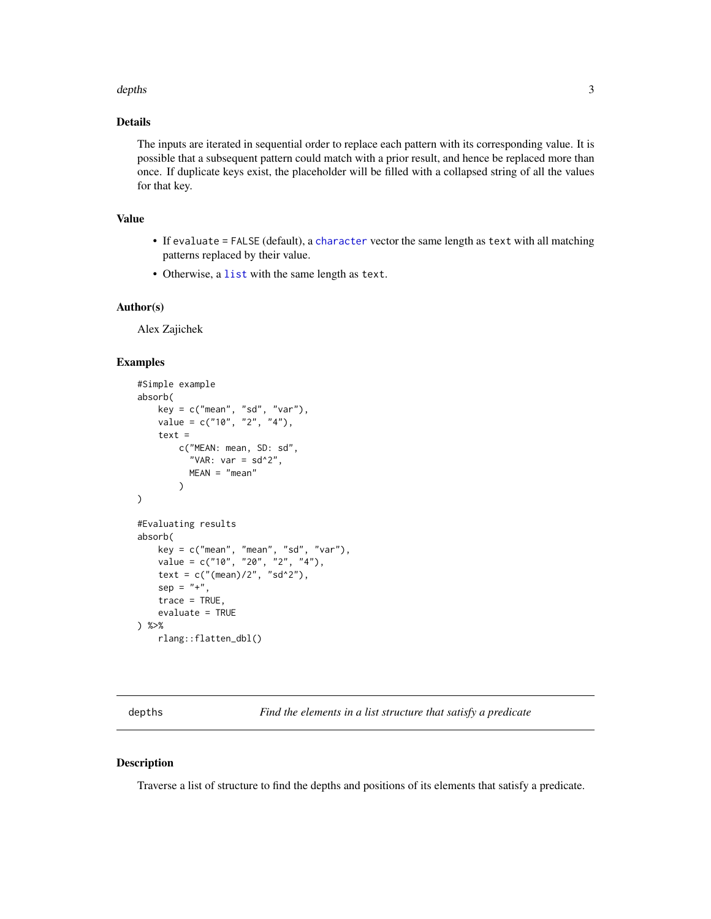### <span id="page-2-0"></span>depths 3

### Details

The inputs are iterated in sequential order to replace each pattern with its corresponding value. It is possible that a subsequent pattern could match with a prior result, and hence be replaced more than once. If duplicate keys exist, the placeholder will be filled with a collapsed string of all the values for that key.

### Value

- If evaluate = FALSE (default), a [character](#page-0-0) vector the same length as text with all matching patterns replaced by their value.
- Otherwise, a [list](#page-0-0) with the same length as text.

### Author(s)

Alex Zajichek

### Examples

```
#Simple example
absorb(
   key = c("mean", "sd", "var"),value = c("10", "2", "4"),text =
       c("MEAN: mean, SD: sd",
          "VAR: var = sd^2",
         MEAN = "mean")
)
#Evaluating results
absorb(
   key = c("mean", "mean", "sd", "var"),
   value = c("10", "20", "2", "4"),
    text = c("mean)/2", "sd^2"),sep = "+",trace = TRUE,
    evaluate = TRUE
) %>%
    rlang::flatten_dbl()
```
depths *Find the elements in a list structure that satisfy a predicate*

### Description

Traverse a list of structure to find the depths and positions of its elements that satisfy a predicate.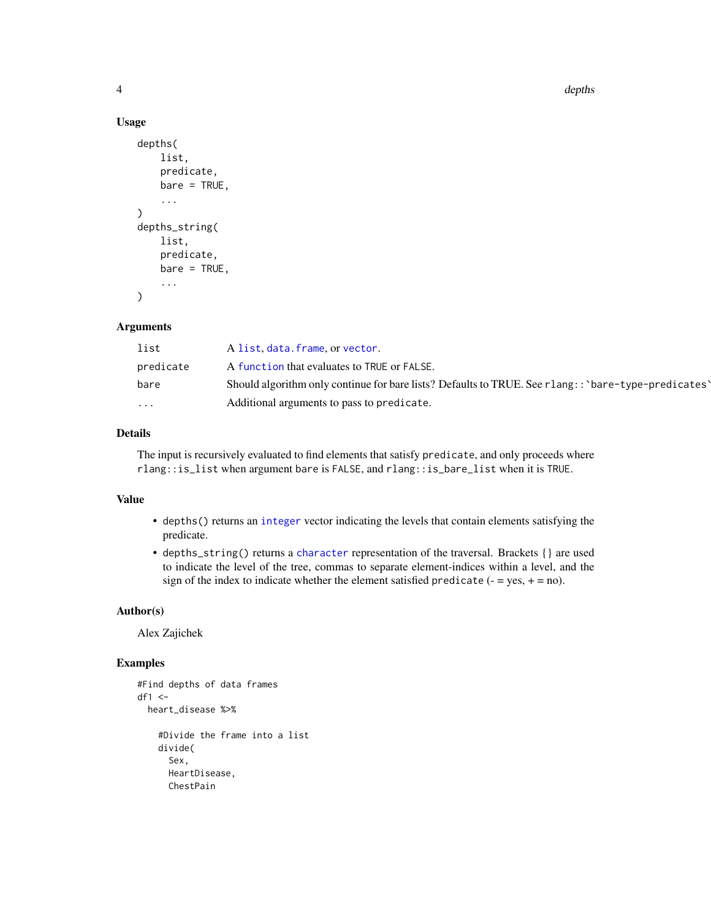4 depths and the contract of the contract of the contract of the contract of the contract of the contract of the contract of the contract of the contract of the contract of the contract of the contract of the contract of t

### Usage

```
depths(
    list,
    predicate,
    bare = TRUE,...
\mathcal{L}depths_string(
    list,
    predicate,
    bare = TRUE,
    ...
)
```
### Arguments

| list      | A list, data. frame, or vector.                                                                        |
|-----------|--------------------------------------------------------------------------------------------------------|
| predicate | A function that evaluates to TRUE or FALSE.                                                            |
| bare      | Should algorithm only continue for bare lists? Defaults to TRUE. See $r$ lang:: 'bare-type-predicates' |
| $\cdots$  | Additional arguments to pass to predicate.                                                             |

### Details

The input is recursively evaluated to find elements that satisfy predicate, and only proceeds where rlang::is\_list when argument bare is FALSE, and rlang::is\_bare\_list when it is TRUE.

### Value

- depths() returns an [integer](#page-0-0) vector indicating the levels that contain elements satisfying the predicate.
- depths\_string() returns a [character](#page-0-0) representation of the traversal. Brackets {} are used to indicate the level of the tree, commas to separate element-indices within a level, and the sign of the index to indicate whether the element satisfied predicate  $(-$  = yes, + = no).

### Author(s)

Alex Zajichek

```
#Find depths of data frames
df1 < -heart_disease %>%
    #Divide the frame into a list
   divide(
     Sex,
     HeartDisease,
     ChestPain
```
<span id="page-3-0"></span>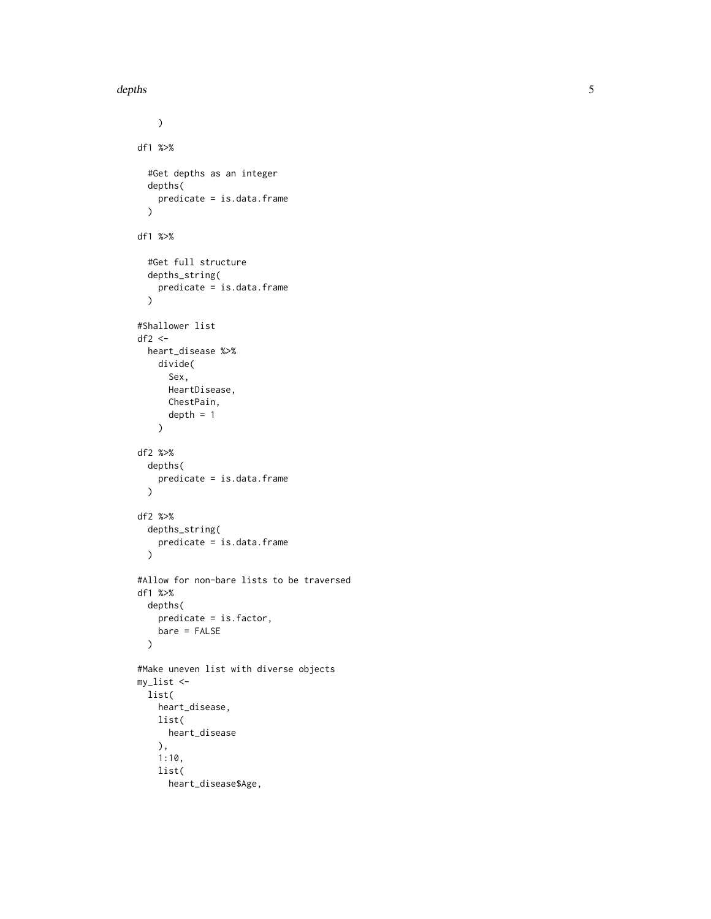```
\lambdadf1 %>%
  #Get depths as an integer
  depths(
    predicate = is.data.frame
  )
df1 %>%
  #Get full structure
  depths_string(
    predicate = is.data.frame
  \mathcal{L}#Shallower list
df2 < -heart_disease %>%
    divide(
      Sex,
      HeartDisease,
      ChestPain,
      depth = 1\lambdadf2 %>%
  depths(
    predicate = is.data.frame
  \mathcal{L}df2 %>%
  depths_string(
    predicate = is.data.frame
  \lambda#Allow for non-bare lists to be traversed
df1 %>%
  depths(
    predicate = is.factor,
    bare = FALSE
  )
#Make uneven list with diverse objects
my_list <-
 list(
    heart_disease,
    list(
      heart_disease
    ),
    1:10,
    list(
      heart_disease$Age,
```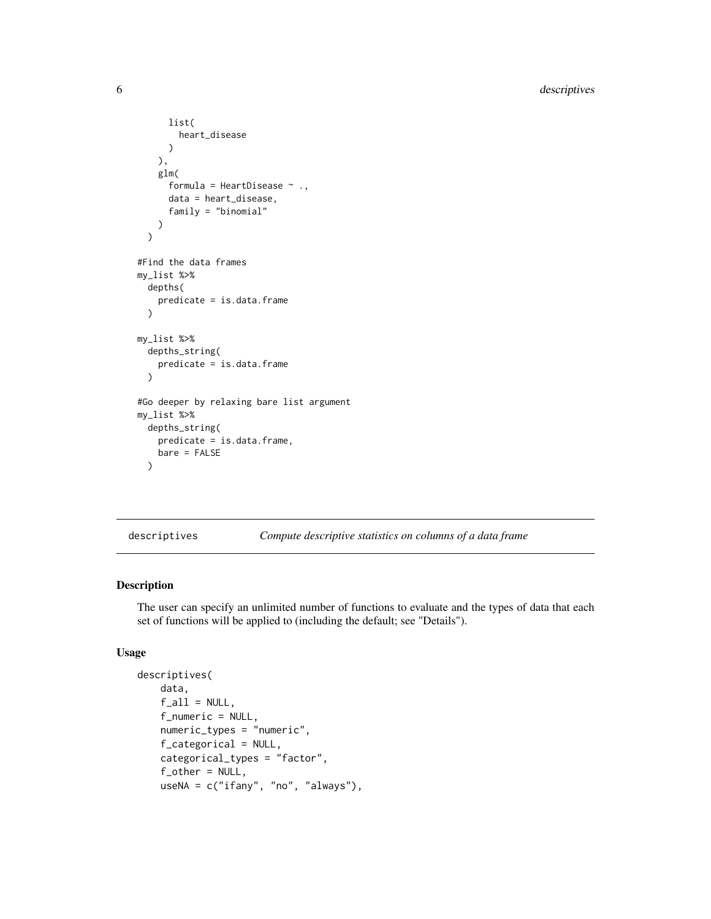```
list(
        heart_disease
      )
   ),
    glm(
      formula = HeartDisease \sim .,
      data = heart_disease,
      family = "binomial"
   \lambda\lambda#Find the data frames
my_list %>%
 depths(
   predicate = is.data.frame
 )
my_list %>%
 depths_string(
   predicate = is.data.frame
 )
#Go deeper by relaxing bare list argument
my_list %>%
 depths_string(
   predicate = is.data.frame,
   bare = FALSE
 )
```
<span id="page-5-1"></span>descriptives *Compute descriptive statistics on columns of a data frame*

### Description

The user can specify an unlimited number of functions to evaluate and the types of data that each set of functions will be applied to (including the default; see "Details").

### Usage

```
descriptives(
    data,
    f<sub>-all</sub> = NULL,
    f_numeric = NULL,
    numeric_types = "numeric",
    f_categorical = NULL,
    categorical_types = "factor",
    f_{other} = NULL,
    useNA = c("ifany", "no", "always"),
```
<span id="page-5-0"></span>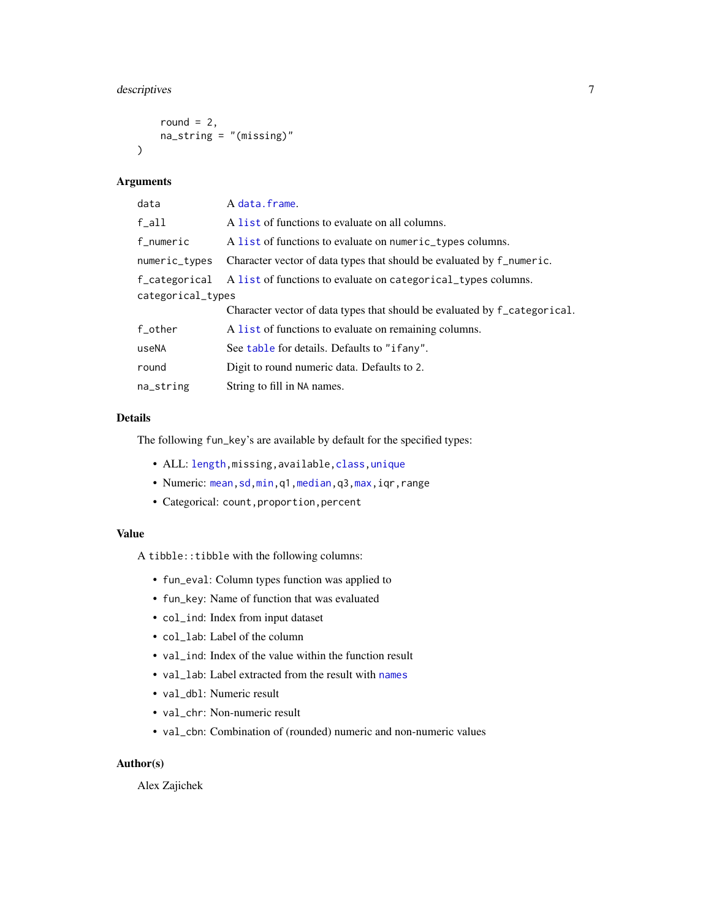### <span id="page-6-0"></span>descriptives 7

```
round = 2,
    na\_string = "(missing)"\lambda
```
### Arguments

| data              | A data.frame.                                                             |  |  |  |  |  |
|-------------------|---------------------------------------------------------------------------|--|--|--|--|--|
| f_all             | A list of functions to evaluate on all columns.                           |  |  |  |  |  |
| f_numeric         | A list of functions to evaluate on numeric_types columns.                 |  |  |  |  |  |
| numeric_types     | Character vector of data types that should be evaluated by f_numeric.     |  |  |  |  |  |
| f_categorical     | A list of functions to evaluate on categorical_types columns.             |  |  |  |  |  |
| categorical_types |                                                                           |  |  |  |  |  |
|                   | Character vector of data types that should be evaluated by f_categorical. |  |  |  |  |  |
| f_other           | A list of functions to evaluate on remaining columns.                     |  |  |  |  |  |
| useNA             | See table for details. Defaults to "if any".                              |  |  |  |  |  |
| round             | Digit to round numeric data. Defaults to 2.                               |  |  |  |  |  |
| na_string         | String to fill in NA names.                                               |  |  |  |  |  |

### Details

The following fun\_key's are available by default for the specified types:

- ALL: [length,](#page-0-0)missing,available[,class,unique](#page-0-0)
- Numeric: [mean,sd,min,](#page-0-0)q1[,median,](#page-0-0)q3[,max,](#page-0-0)iqr,range
- Categorical: count,proportion,percent

### Value

A tibble::tibble with the following columns:

- fun\_eval: Column types function was applied to
- fun\_key: Name of function that was evaluated
- col\_ind: Index from input dataset
- col\_lab: Label of the column
- val\_ind: Index of the value within the function result
- val\_lab: Label extracted from the result with [names](#page-0-0)
- val\_dbl: Numeric result
- val\_chr: Non-numeric result
- val\_cbn: Combination of (rounded) numeric and non-numeric values

### Author(s)

Alex Zajichek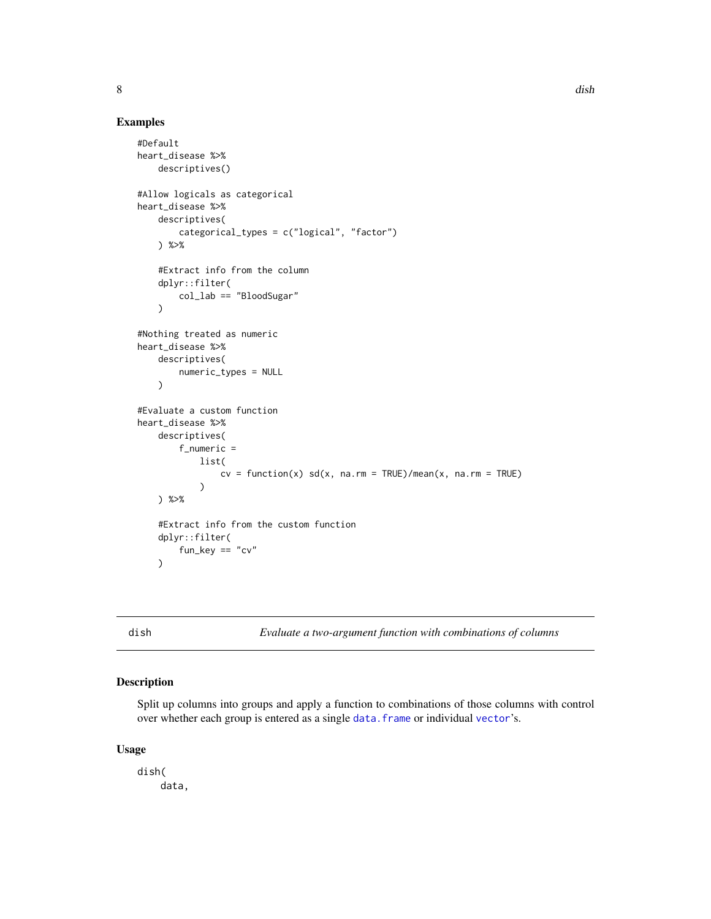### Examples

```
#Default
heart_disease %>%
   descriptives()
#Allow logicals as categorical
heart_disease %>%
    descriptives(
        categorical_types = c("logical", "factor")
    ) %>%
    #Extract info from the column
   dplyr::filter(
        col_lab == "BloodSugar"
    \lambda#Nothing treated as numeric
heart_disease %>%
    descriptives(
        numeric_types = NULL
    )
#Evaluate a custom function
heart_disease %>%
    descriptives(
        f_numeric =
            list(
                cv = function(x) sd(x, na.rm = TRUE)/mean(x, na.rm = TRUE))
   ) %>%
    #Extract info from the custom function
    dplyr::filter(
       fun\_key == "cv")
```
<span id="page-7-1"></span>dish *Evaluate a two-argument function with combinations of columns*

### Description

Split up columns into groups and apply a function to combinations of those columns with control over whether each group is entered as a single data. frame or individual [vector](#page-0-0)'s.

### Usage

dish( data,

<span id="page-7-0"></span>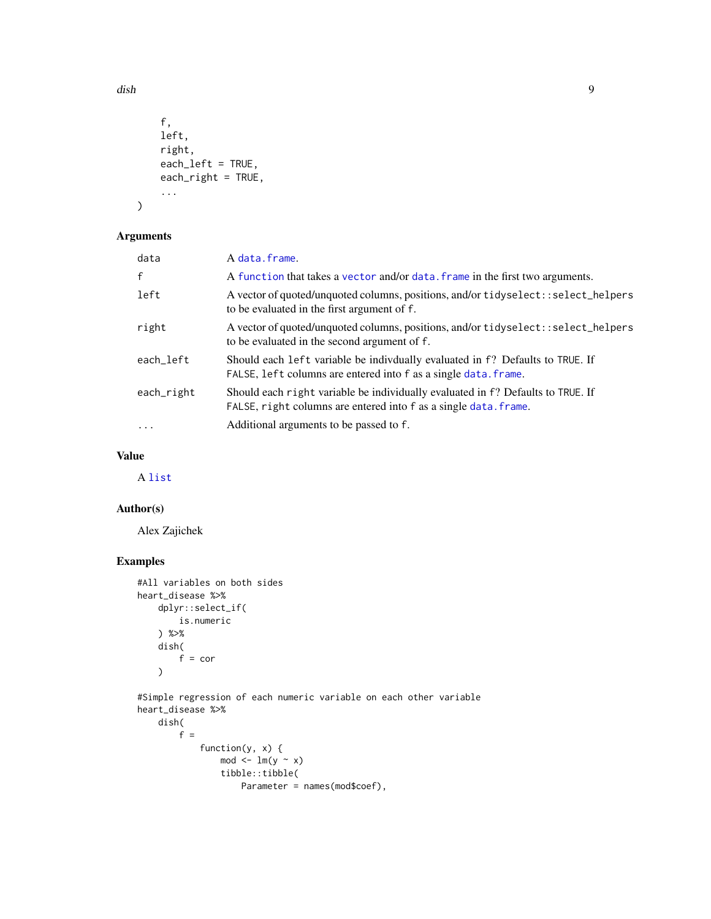```
f,
    left,
    right,
    each_left = TRUE,
    each_right = TRUE,
    ...
)
```
### Arguments

| data              | A data.frame.                                                                                                                                       |
|-------------------|-----------------------------------------------------------------------------------------------------------------------------------------------------|
| $\mathbf{f}$      | A function that takes a vector and/or data. frame in the first two arguments.                                                                       |
| left              | A vector of quoted/unquoted columns, positions, and/or tidyselect::select_helpers<br>to be evaluated in the first argument of f.                    |
| right             | A vector of quoted/unquoted columns, positions, and/or tidyselect::select_helpers<br>to be evaluated in the second argument of f.                   |
| each left         | Should each left variable be indivdually evaluated in f? Defaults to TRUE. If<br>FALSE, left columns are entered into f as a single data. frame.    |
| each_right        | Should each right variable be individually evaluated in f? Defaults to TRUE. If<br>FALSE, right columns are entered into f as a single data. frame. |
| $\cdot\cdot\cdot$ | Additional arguments to be passed to f.                                                                                                             |

### Value

A [list](#page-0-0)

### Author(s)

Alex Zajichek

### Examples

```
#All variables on both sides
heart_disease %>%
   dplyr::select_if(
       is.numeric
   ) %>%
   dish(
       f = cor)
#Simple regression of each numeric variable on each other variable
heart_disease %>%
   dish(
       f =
            function(y, x) {
                mod < -1m(y \sim x)tibble::tibble(
                    Parameter = names(mod$coef),
```
<span id="page-8-0"></span>dish **9**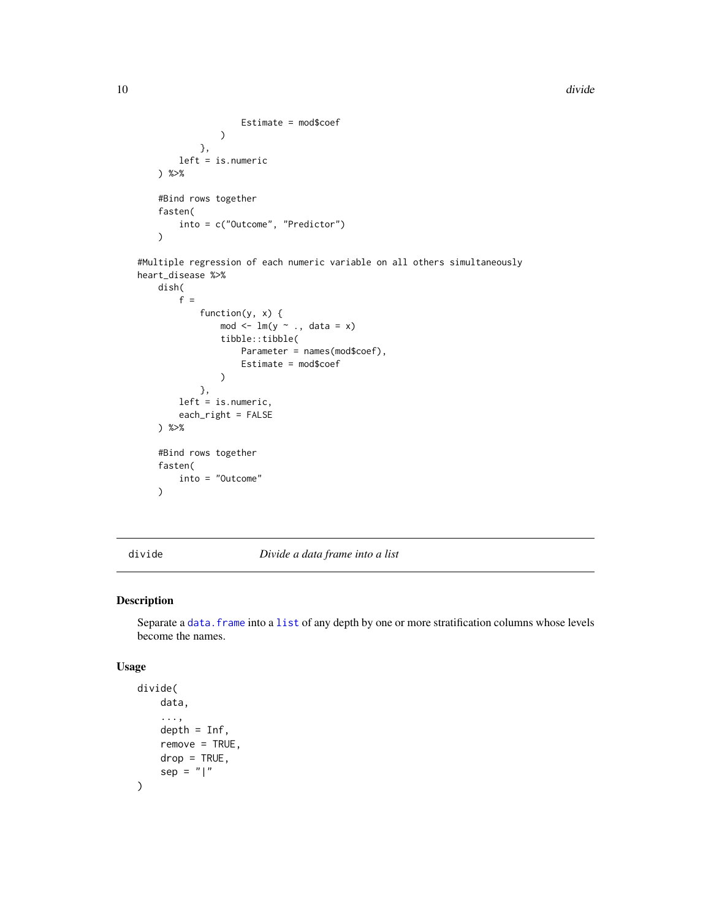```
Estimate = mod$coef
             \lambda},
    left = is.numeric
) %>%
#Bind rows together
fasten(
    into = c("Outcome", "Predictor")
)
```
#Multiple regression of each numeric variable on all others simultaneously heart\_disease %>%

```
dish(
    f =function(y, x) {
            mod < -1m(y - 1, data = x)tibble::tibble(
                Parameter = names(mod$coef),
                Estimate = mod$coef
            )
        },
    left = is.numeric,
    each_right = FALSE
) %>%
#Bind rows together
fasten(
    into = "Outcome"
)
```
divide *Divide a data frame into a list*

### Description

Separate a data. frame into a [list](#page-0-0) of any depth by one or more stratification columns whose levels become the names.

### Usage

```
divide(
    data,
    ...,
    depth = Inf,remove = TRUE,
    drop = TRUE,sep = "|"\mathcal{L}
```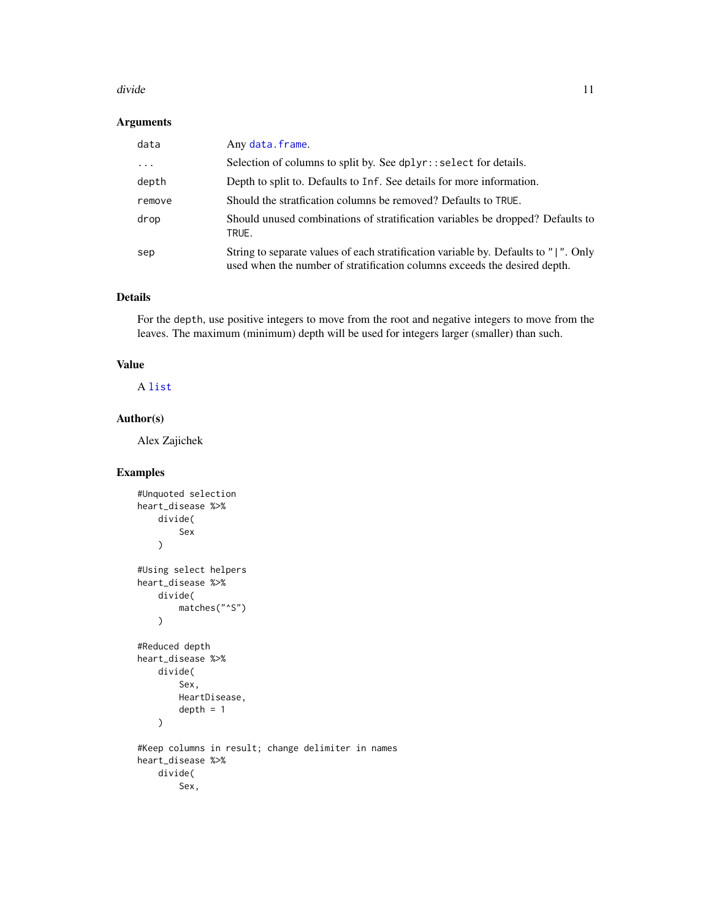### divide the contract of the contract of the contract of the contract of the contract of the contract of the contract of the contract of the contract of the contract of the contract of the contract of the contract of the con

### Arguments

| data      | Any data.frame.                                                                                                                                                  |
|-----------|------------------------------------------------------------------------------------------------------------------------------------------------------------------|
| $\ddotsc$ | Selection of columns to split by. See dplyr::select for details.                                                                                                 |
| depth     | Depth to split to. Defaults to Inf. See details for more information.                                                                                            |
| remove    | Should the stratfication columns be removed? Defaults to TRUE.                                                                                                   |
| drop      | Should unused combinations of stratification variables be dropped? Defaults to<br>TRUE.                                                                          |
| sep       | String to separate values of each stratification variable by. Defaults to " ". Only<br>used when the number of stratification columns exceeds the desired depth. |

### Details

For the depth, use positive integers to move from the root and negative integers to move from the leaves. The maximum (minimum) depth will be used for integers larger (smaller) than such.

### Value

A [list](#page-0-0)

### Author(s)

Alex Zajichek

```
#Unquoted selection
heart_disease %>%
   divide(
        Sex
    \overline{)}#Using select helpers
heart_disease %>%
   divide(
        matches("^S")
   )
#Reduced depth
heart_disease %>%
   divide(
        Sex,
        HeartDisease,
        depth = 1\mathcal{L}#Keep columns in result; change delimiter in names
heart_disease %>%
   divide(
        Sex,
```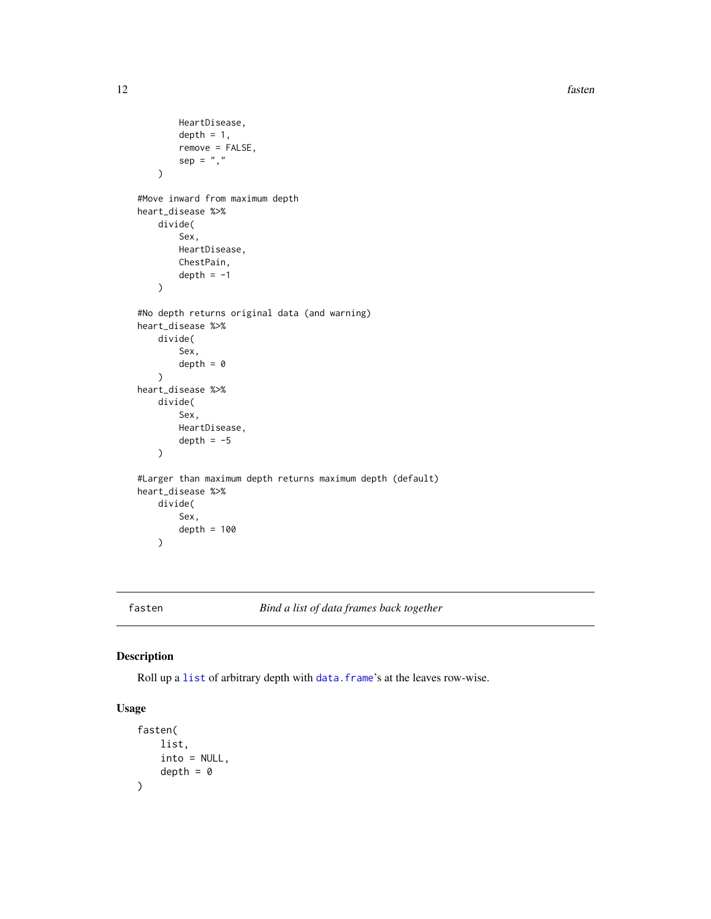```
HeartDisease,
        depth = 1,
        remove = FALSE,
        sep = ",")
#Move inward from maximum depth
heart_disease %>%
    divide(
        Sex,
        HeartDisease,
        ChestPain,
        depth = -1\mathcal{L}#No depth returns original data (and warning)
heart_disease %>%
    divide(
        Sex,
        depth = \theta)
heart_disease %>%
    divide(
        Sex,
        HeartDisease,
        depth = -5\mathcal{L}#Larger than maximum depth returns maximum depth (default)
heart_disease %>%
    divide(
        Sex,
        depth = 100)
```
fasten *Bind a list of data frames back together*

### Description

Roll up a [list](#page-0-0) of arbitrary depth with [data.frame](#page-0-0)'s at the leaves row-wise.

### Usage

```
fasten(
     list,
     into = NULL,
     depth = \theta\mathcal{L}
```
<span id="page-11-0"></span>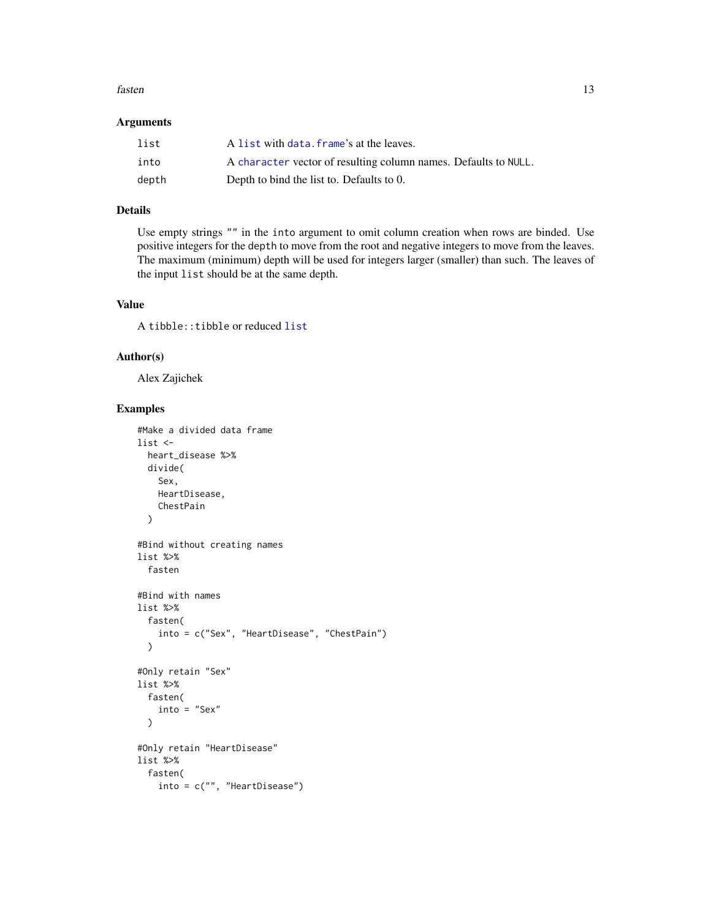### <span id="page-12-0"></span>fasten 13

### Arguments

| list  | A list with data, frame's at the leaves.                        |
|-------|-----------------------------------------------------------------|
| into  | A character vector of resulting column names. Defaults to NULL. |
| depth | Depth to bind the list to. Defaults to 0.                       |

### Details

Use empty strings "" in the into argument to omit column creation when rows are binded. Use positive integers for the depth to move from the root and negative integers to move from the leaves. The maximum (minimum) depth will be used for integers larger (smaller) than such. The leaves of the input list should be at the same depth.

### Value

A tibble::tibble or reduced [list](#page-0-0)

### Author(s)

Alex Zajichek

```
#Make a divided data frame
list <-
 heart_disease %>%
 divide(
    Sex,
    HeartDisease,
    ChestPain
  \lambda#Bind without creating names
list %>%
  fasten
#Bind with names
list %>%
  fasten(
    into = c("Sex", "HeartDisease", "ChestPain")
  \mathcal{L}#Only retain "Sex"
list %>%
  fasten(
    into = "Sex")
#Only retain "HeartDisease"
list %>%
  fasten(
    into = c("", "HeartDisease")
```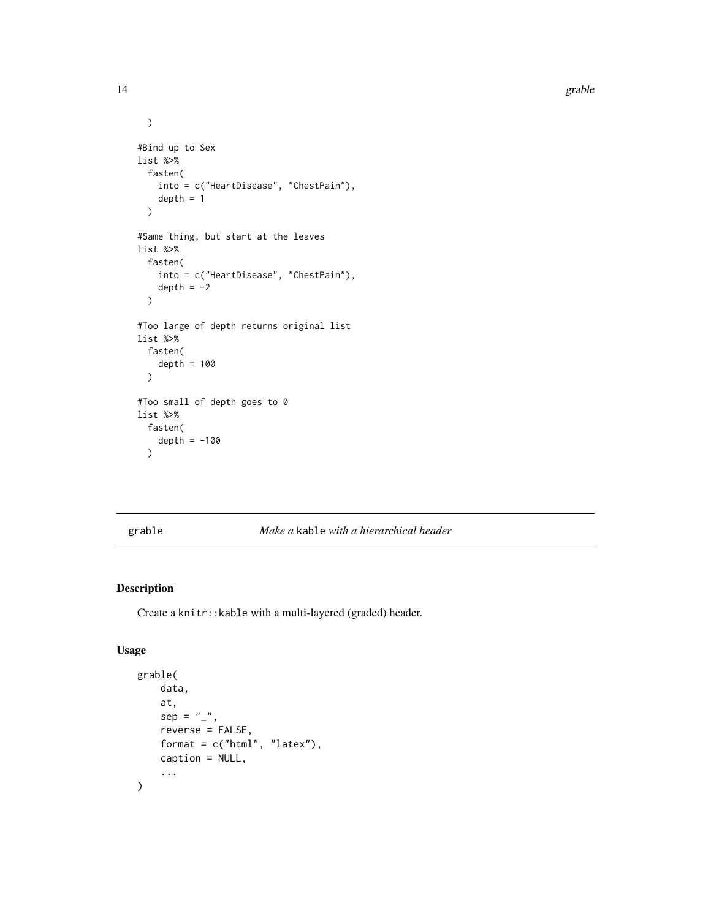```
\overline{\phantom{a}}#Bind up to Sex
list %>%
  fasten(
    into = c("HeartDisease", "ChestPain"),
    depth = 1)
#Same thing, but start at the leaves
list %>%
  fasten(
    into = c("HeartDisease", "ChestPain"),
    depth = -2\mathcal{L}#Too large of depth returns original list
list %>%
  fasten(
    depth = 100\mathcal{L}#Too small of depth goes to 0
list %>%
  fasten(
    depth = -100\lambda
```
### grable *Make a* kable *with a hierarchical header*

### Description

Create a knitr::kable with a multi-layered (graded) header.

### Usage

```
grable(
    data,
    at,
    sep = "''',reverse = FALSE,
    format = c("html", "later"),caption = NULL,
    ...
\mathcal{L}
```
<span id="page-13-0"></span>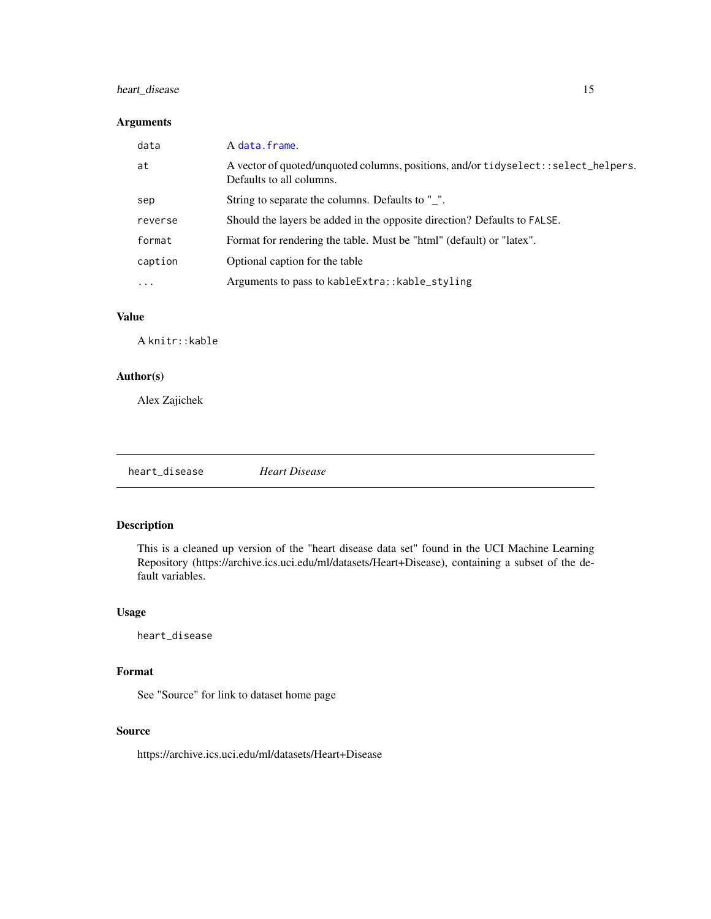### <span id="page-14-0"></span>heart\_disease 15

### Arguments

| data     | A data.frame.                                                                                                  |
|----------|----------------------------------------------------------------------------------------------------------------|
| at       | A vector of quoted/unquoted columns, positions, and/or tidyselect::select_helpers.<br>Defaults to all columns. |
| sep      | String to separate the columns. Defaults to ".                                                                 |
| reverse  | Should the layers be added in the opposite direction? Defaults to FALSE.                                       |
| format   | Format for rendering the table. Must be "html" (default) or "latex".                                           |
| caption  | Optional caption for the table                                                                                 |
| $\cdots$ | Arguments to pass to kableExtra:: kable_styling                                                                |

### Value

A knitr::kable

### Author(s)

Alex Zajichek

heart\_disease *Heart Disease*

### Description

This is a cleaned up version of the "heart disease data set" found in the UCI Machine Learning Repository (https://archive.ics.uci.edu/ml/datasets/Heart+Disease), containing a subset of the default variables.

### Usage

heart\_disease

### Format

See "Source" for link to dataset home page

### Source

https://archive.ics.uci.edu/ml/datasets/Heart+Disease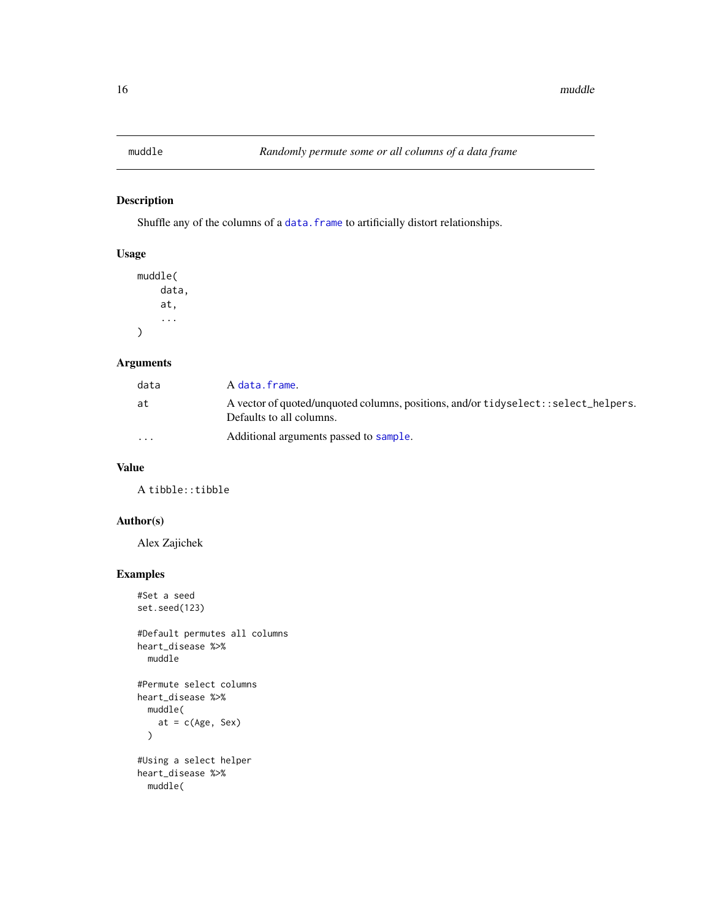### <span id="page-15-0"></span>Description

Shuffle any of the columns of a data. frame to artificially distort relationships.

### Usage

```
muddle(
    data,
    at,
    ...
)
```
### Arguments

| data    | A data.frame.                                                                                                  |
|---------|----------------------------------------------------------------------------------------------------------------|
| at      | A vector of quoted/unquoted columns, positions, and/or tidyselect::select_helpers.<br>Defaults to all columns. |
| $\cdot$ | Additional arguments passed to sample.                                                                         |

### Value

A tibble::tibble

### Author(s)

Alex Zajichek

```
#Set a seed
set.seed(123)
#Default permutes all columns
heart_disease %>%
  muddle
#Permute select columns
heart_disease %>%
  muddle(
   at = c(Age, Sex))
```

```
#Using a select helper
heart_disease %>%
  muddle(
```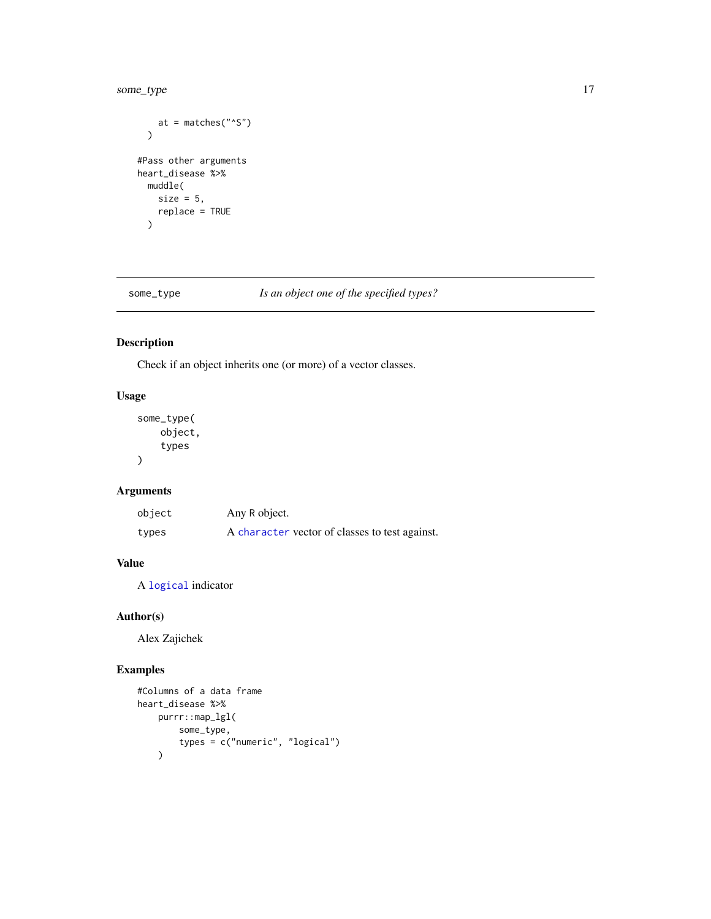### <span id="page-16-0"></span>some\_type 17

```
at = matches("^S")
  \mathcal{L}#Pass other arguments
heart_disease %>%
  muddle(
    size = 5,
    replace = TRUE
  \mathcal{L}
```
### some\_type *Is an object one of the specified types?*

### Description

Check if an object inherits one (or more) of a vector classes.

### Usage

some\_type( object, types )

### Arguments

| object | Any R object.                                  |
|--------|------------------------------------------------|
| types  | A character vector of classes to test against. |

### Value

A [logical](#page-0-0) indicator

### Author(s)

Alex Zajichek

```
#Columns of a data frame
heart_disease %>%
    purrr::map_lgl(
        some_type,
        types = c("numeric", "logical")
    \lambda
```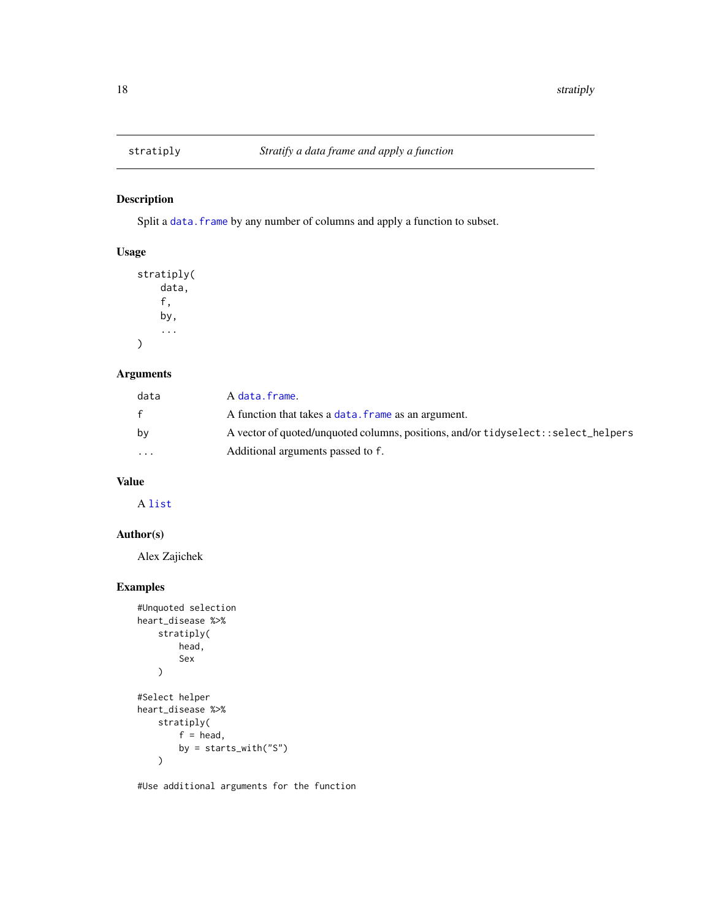### Description

Split a data. frame by any number of columns and apply a function to subset.

### Usage

```
stratiply(
    data,
    f,
    by,
    ...
)
```
### Arguments

| data     | A data.frame.                                                                       |
|----------|-------------------------------------------------------------------------------------|
|          | A function that takes a data. frame as an argument.                                 |
| by       | A vector of quoted/unquoted columns, positions, and/or tidyselect: : select_helpers |
| $\cdots$ | Additional arguments passed to f.                                                   |

### Value

A [list](#page-0-0)

### Author(s)

Alex Zajichek

### Examples

```
#Unquoted selection
heart_disease %>%
    stratiply(
        head,
        Sex
    )
#Select helper
heart_disease %>%
    stratiply(
        f = head,
        by = starts_with("S")
    \lambda
```
#Use additional arguments for the function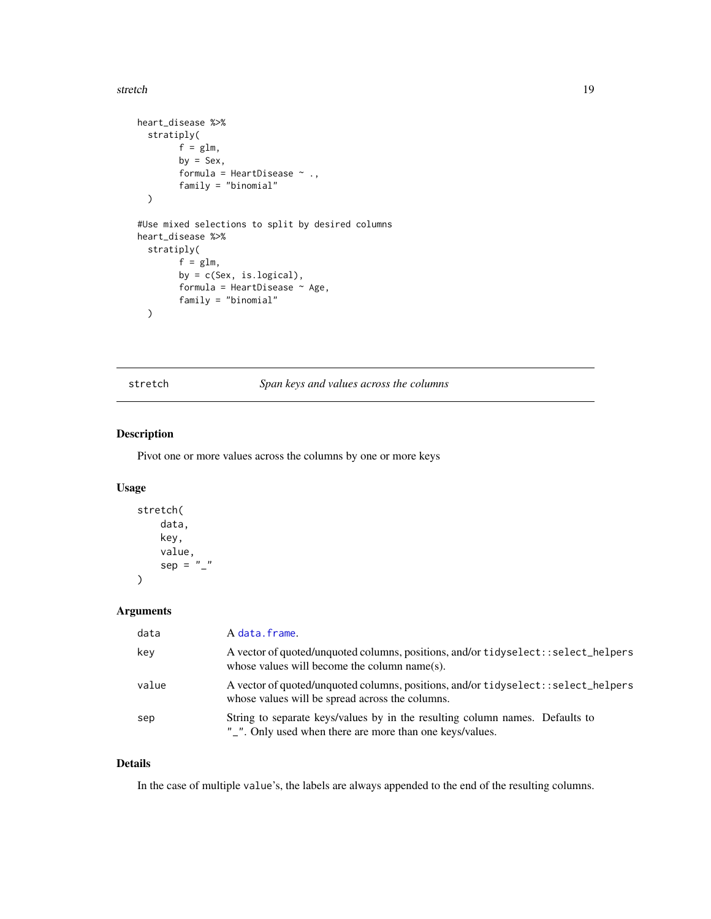### <span id="page-18-0"></span>stretch the stretch through the stretch through the stretch through the stretch through the stretch through the stretch through the stretch through the stretch through the stretch through the stretch through the stretch th

```
heart_disease %>%
  stratiply(
        f = glm,by = Sex,formula = HeartDisease \sim .,
        family = "binomial"
  )
#Use mixed selections to split by desired columns
heart_disease %>%
  stratiply(
        f = glm,by = c(Sex, is.logical),
         formula = HeartDisease \sim Age,
        family = "binomial"
  \mathcal{L}
```
### stretch *Span keys and values across the columns*

### Description

Pivot one or more values across the columns by one or more keys

### Usage

```
stretch(
     data,
     key,
     value,
     sep = "''\mathcal{L}
```
### Arguments

| data  | A data.frame.                                                                                                                            |
|-------|------------------------------------------------------------------------------------------------------------------------------------------|
| key   | A vector of quoted/unquoted columns, positions, and/or tidyselect::select_helpers<br>whose values will become the column name(s).        |
| value | A vector of quoted/unquoted columns, positions, and/or tidyselect::select_helpers<br>whose values will be spread across the columns.     |
| sep   | String to separate keys/values by in the resulting column names. Defaults to<br>"_". Only used when there are more than one keys/values. |

### Details

In the case of multiple value's, the labels are always appended to the end of the resulting columns.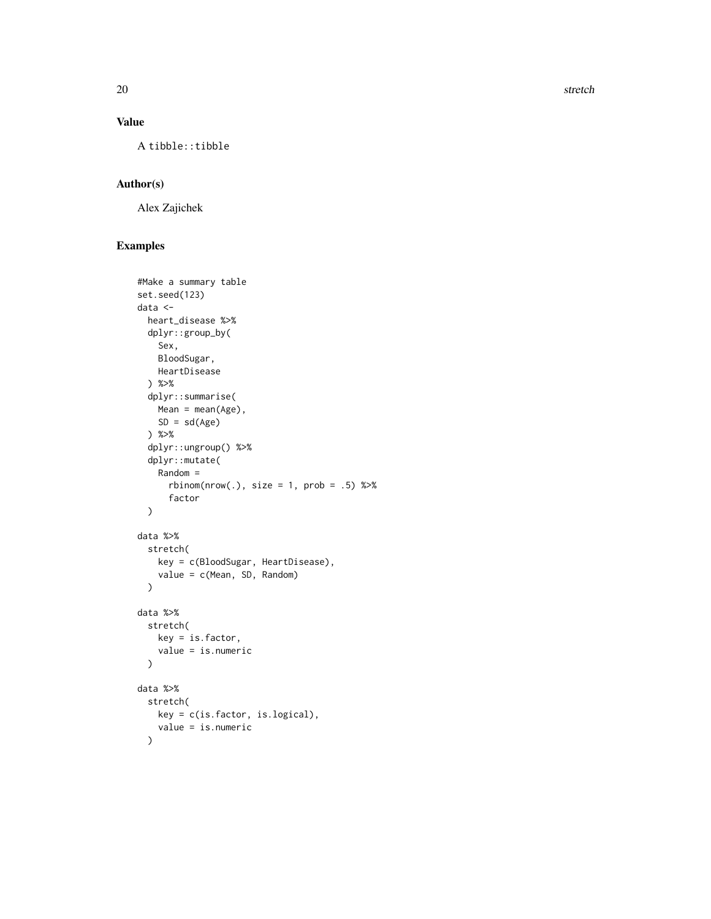20 stretch and the stretch stretch stretch stretch stretch stretch stretch stretch stretch stretch stretch stretch stretch stretch stretch stretch stretch stretch stretch stretch stretch stretch stretch stretch stretch str

### Value

A tibble::tibble

### Author(s)

Alex Zajichek

```
#Make a summary table
set.seed(123)
data <-
 heart_disease %>%
  dplyr::group_by(
    Sex,
    BloodSugar,
    HeartDisease
  ) %>%
  dplyr::summarise(
    Mean = mean(Age),
    SD = sd(Age)) %>%
  dplyr::ungroup() %>%
  dplyr::mutate(
    Random =
      rbinom(nrow(.), size = 1, prob = .5) %>%
      factor
  \mathcal{L}data %>%
  stretch(
    key = c(BloodSugar, HeartDisease),
    value = c(Mean, SD, Random)
  \mathcal{L}data %>%
  stretch(
   key = is.factor,
    value = is.numeric
  \mathcal{L}data %>%
  stretch(
    key = c(is.factor, is.logical),
    value = is.numeric
  \lambda
```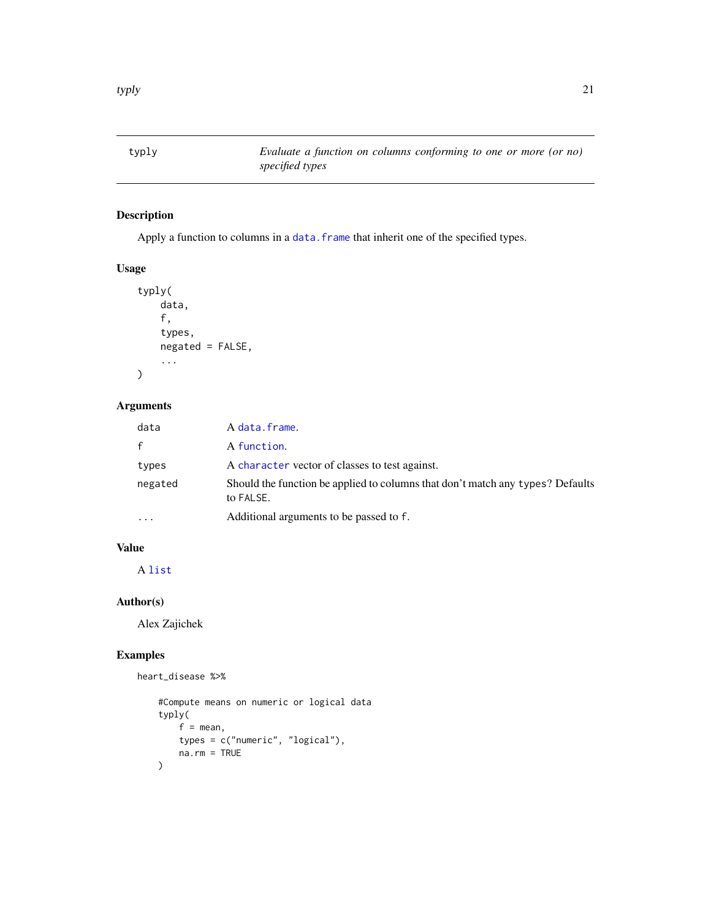<span id="page-20-0"></span>

### Description

Apply a function to columns in a data. frame that inherit one of the specified types.

### Usage

```
typly(
    data,
    f,
    types,
    negated = FALSE,
    ...
```
### )

### Arguments

| data         | A data.frame.                                                                               |
|--------------|---------------------------------------------------------------------------------------------|
| $\mathsf{f}$ | A function.                                                                                 |
| types        | A character vector of classes to test against.                                              |
| negated      | Should the function be applied to columns that don't match any types? Defaults<br>to FALSE. |
| $\cdots$     | Additional arguments to be passed to f.                                                     |

### Value

A [list](#page-0-0)

### Author(s)

Alex Zajichek

### Examples

heart\_disease %>%

```
#Compute means on numeric or logical data
typly(
   f = mean,types = c("numeric", "logical"),
   na.rm = TRUE
)
```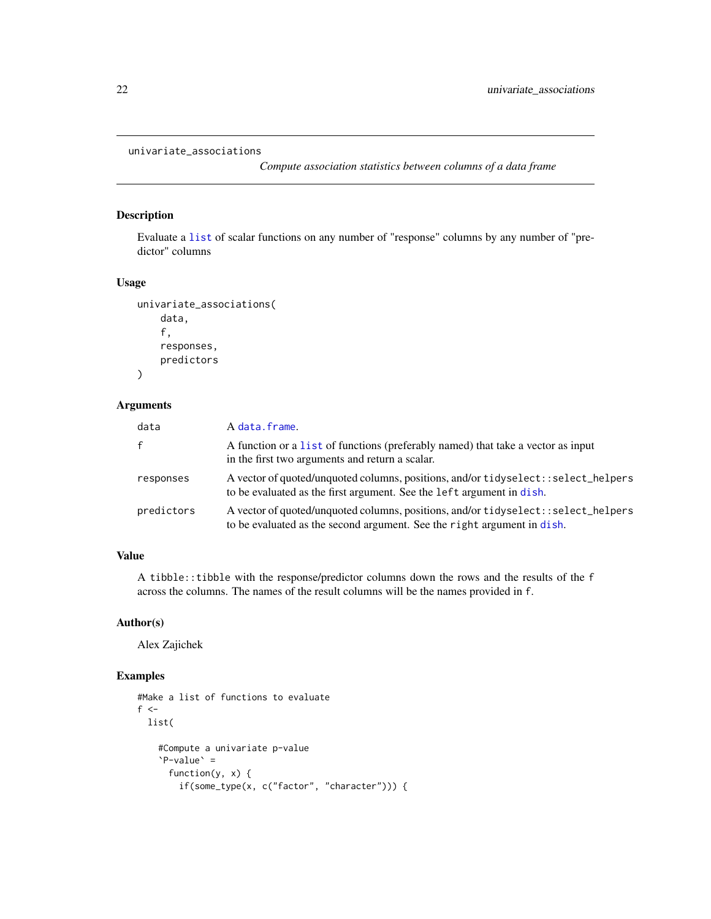```
univariate_associations
```
*Compute association statistics between columns of a data frame*

### Description

Evaluate a [list](#page-0-0) of scalar functions on any number of "response" columns by any number of "predictor" columns

### Usage

```
univariate_associations(
    data,
    f,
    responses,
    predictors
)
```
### Arguments

| data         | A data.frame.                                                                                                                                                  |
|--------------|----------------------------------------------------------------------------------------------------------------------------------------------------------------|
| $\mathbf{f}$ | A function or a list of functions (preferably named) that take a vector as input<br>in the first two arguments and return a scalar.                            |
| responses    | A vector of quoted/unquoted columns, positions, and/or tidyselect: : select_helpers<br>to be evaluated as the first argument. See the left argument in dish.   |
| predictors   | A vector of quoted/unquoted columns, positions, and/or tidyselect: : select_helpers<br>to be evaluated as the second argument. See the right argument in dish. |

### Value

A tibble::tibble with the response/predictor columns down the rows and the results of the f across the columns. The names of the result columns will be the names provided in f.

### Author(s)

Alex Zajichek

```
#Make a list of functions to evaluate
f < -list(
    #Compute a univariate p-value
    `P-value` =
     function(y, x) {
       if(some_type(x, c("factor", "character"))) {
```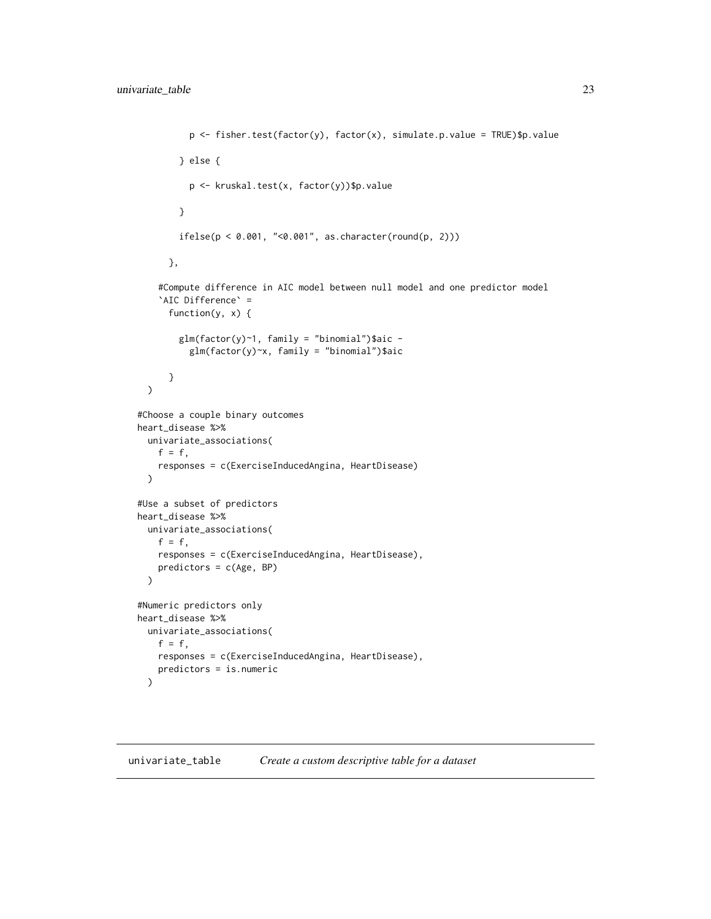```
p \leftarrow fisher.test(factor(y), factor(x), simulate.p.value = TRUE)$p.value
        } else {
          p <- kruskal.test(x, factor(y))$p.value
        }
        ifelse(p < 0.001, "< 0.001", as-character(rownd(p, 2)))},
    #Compute difference in AIC model between null model and one predictor model
    `AIC Difference` =
      function(y, x) {
        glm(factor(y)^{-1}, fanily = "binomial")$aic -
          glm(factor(y)~x, family = "binomial")$aic
      }
  \mathcal{L}#Choose a couple binary outcomes
heart_disease %>%
  univariate_associations(
    f = f,
    responses = c(ExerciseInducedAngina, HeartDisease)
  )
#Use a subset of predictors
heart_disease %>%
 univariate_associations(
    f = f,
    responses = c(ExerciseInducedAngina, HeartDisease),
    predictors = c(Age, BP)
  \lambda#Numeric predictors only
heart_disease %>%
  univariate_associations(
    f = f,
    responses = c(ExerciseInducedAngina, HeartDisease),
    predictors = is.numeric
  \mathcal{L}
```
univariate\_table *Create a custom descriptive table for a dataset*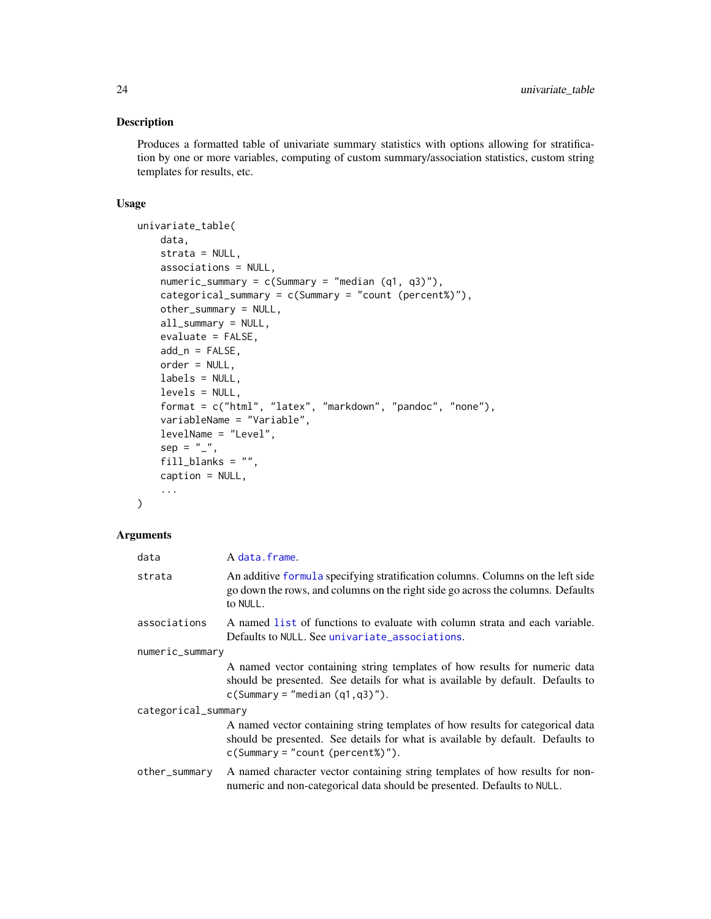### <span id="page-23-0"></span>Description

Produces a formatted table of univariate summary statistics with options allowing for stratification by one or more variables, computing of custom summary/association statistics, custom string templates for results, etc.

### Usage

```
univariate_table(
   data,
   strata = NULL,
   associations = NULL,
   numeric_summary = c(Summary = "median (q1, q3)");categorical_summary = c(Summary = "count (percent%)");other_summary = NULL,
   all_summary = NULL,
   evaluate = FALSE,
   add_n = FALSE,order = NULL,
   labels = NULL,
   levels = NULL,
   format = c("html", "latex", "markdown", "pandoc", "none"),
   variableName = "Variable",
   levelName = "Level",
   sep = "''_",fill_blanks = "",
   caption = NULL,
    ...
)
```
### Arguments

| data                | A data.frame.                                                                                                                                                                                          |  |
|---------------------|--------------------------------------------------------------------------------------------------------------------------------------------------------------------------------------------------------|--|
| strata              | An additive formula specifying stratification columns. Columns on the left side<br>go down the rows, and columns on the right side go across the columns. Defaults<br>to NULL.                         |  |
| associations        | A named list of functions to evaluate with column strata and each variable.<br>Defaults to NULL. See univariate_associations.                                                                          |  |
| numeric_summary     |                                                                                                                                                                                                        |  |
|                     | A named vector containing string templates of how results for numeric data<br>should be presented. See details for what is available by default. Defaults to<br>$c(Summary = "median(q1,q3)").$        |  |
| categorical_summary |                                                                                                                                                                                                        |  |
|                     | A named vector containing string templates of how results for categorical data<br>should be presented. See details for what is available by default. Defaults to<br>$c(Summary = "count (percent%)").$ |  |
| other_summary       | A named character vector containing string templates of how results for non-<br>numeric and non-categorical data should be presented. Defaults to NULL.                                                |  |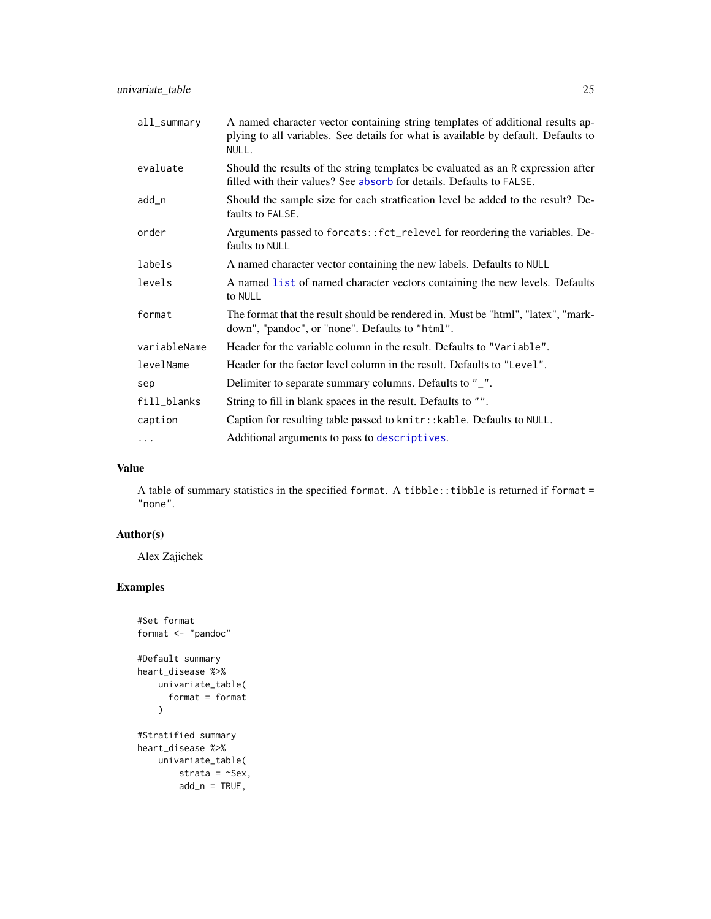<span id="page-24-0"></span>univariate\_table 25

| all_summary  | A named character vector containing string templates of additional results ap-<br>plying to all variables. See details for what is available by default. Defaults to<br>NULL. |
|--------------|-------------------------------------------------------------------------------------------------------------------------------------------------------------------------------|
| evaluate     | Should the results of the string templates be evaluated as an R expression after<br>filled with their values? See absorb for details. Defaults to FALSE.                      |
| add_n        | Should the sample size for each stratfication level be added to the result? De-<br>faults to FALSE.                                                                           |
| order        | Arguments passed to forcats:: fct_relevel for reordering the variables. De-<br>faults to NULL                                                                                 |
| labels       | A named character vector containing the new labels. Defaults to NULL                                                                                                          |
| levels       | A named list of named character vectors containing the new levels. Defaults<br>to NULL                                                                                        |
| format       | The format that the result should be rendered in. Must be "html", "latex", "mark-<br>down", "pandoc", or "none". Defaults to "html".                                          |
| variableName | Header for the variable column in the result. Defaults to "Variable".                                                                                                         |
| levelName    | Header for the factor level column in the result. Defaults to "Level".                                                                                                        |
| sep          | Delimiter to separate summary columns. Defaults to "_".                                                                                                                       |
| fill_blanks  | String to fill in blank spaces in the result. Defaults to "".                                                                                                                 |
| caption      | Caption for resulting table passed to knitr:: kable. Defaults to NULL.                                                                                                        |
| $\cdots$     | Additional arguments to pass to descriptives.                                                                                                                                 |

### Value

A table of summary statistics in the specified format. A tibble::tibble is returned if format = "none".

### Author(s)

Alex Zajichek

```
#Set format
format <- "pandoc"
#Default summary
heart_disease %>%
   univariate_table(
     format = format
   \lambda#Stratified summary
heart_disease %>%
   univariate_table(
       strata = ~Sex,
       add_n = TRUE,
```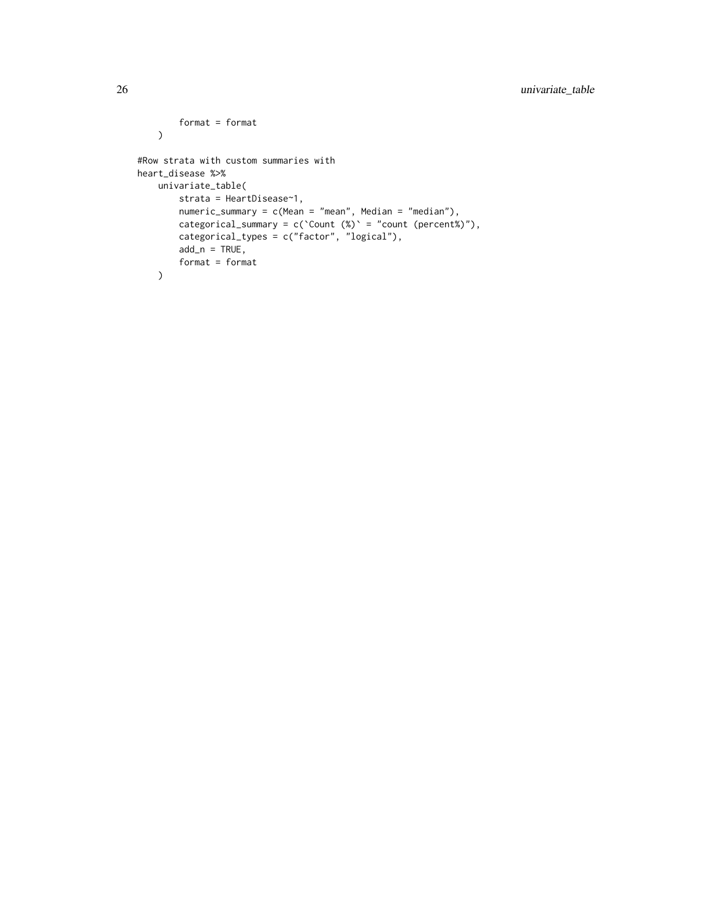```
format = format
   \mathcal{L}#Row strata with custom summaries with
heart_disease %>%
   univariate_table(
       strata = HeartDisease~1,
       numeric_summary = c(Mean = "mean", Median = "median"),
       categorical_summary = c('Count (%)' = "count (percent"))"),
       categorical_types = c("factor", "logical"),
       add_n = TRUE,format = format)
```